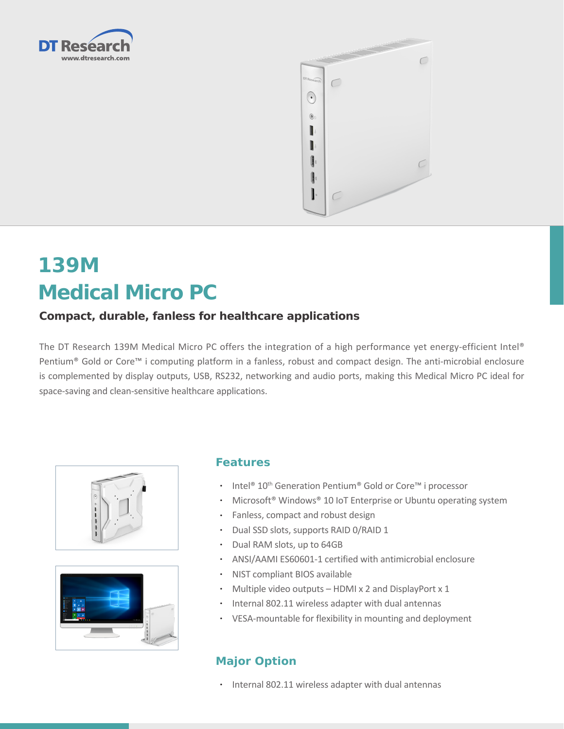



# **139M Medical Micro PC**

## **Compact, durable, fanless for healthcare applications**

The DT Research 139M Medical Micro PC offers the integration of a high performance yet energy-efficient Intel® Pentium® Gold or Core™ i computing platform in a fanless, robust and compact design. The anti-microbial enclosure is complemented by display outputs, USB, RS232, networking and audio ports, making this Medical Micro PC ideal for space-saving and clean-sensitive healthcare applications.





#### **Features**

- Intel<sup>®</sup> 10<sup>th</sup> Generation Pentium<sup>®</sup> Gold or Core™ i processor
- Microsoft<sup>®</sup> Windows<sup>®</sup> 10 IoT Enterprise or Ubuntu operating system
- • Fanless, compact and robust design
- • Dual SSD slots, supports RAID 0/RAID 1
- • Dual RAM slots, up to 64GB
- • ANSI/AAMI ES60601-1 certified with antimicrobial enclosure
- • NIST compliant BIOS available
- Multiple video outputs HDMI x 2 and DisplayPort x 1
- • Internal 802.11 wireless adapter with dual antennas
- • VESA-mountable for flexibility in mounting and deployment

### **Major Option**

• Internal 802.11 wireless adapter with dual antennas